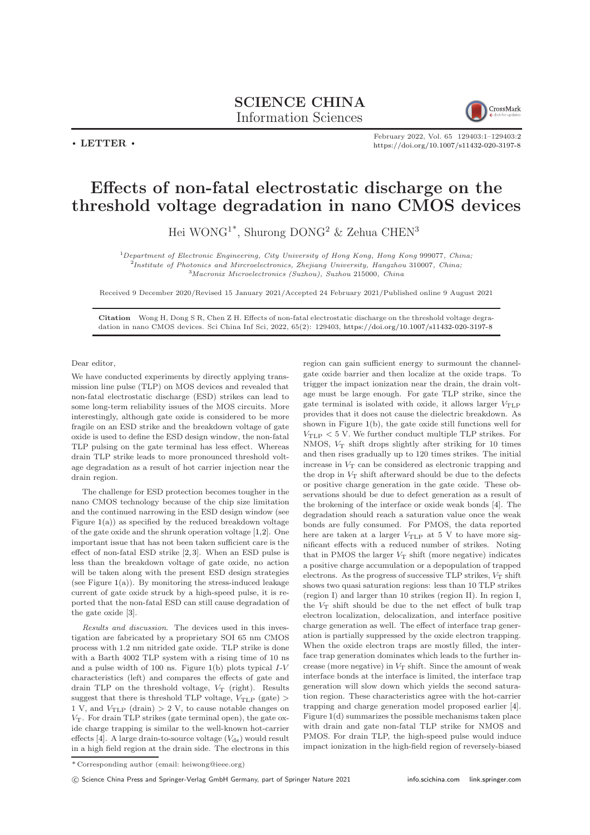## SCIENCE CHINA Information Sciences



 $\cdot$  LETTER  $\cdot$ 

February 2022, Vol. 65 129403:1–129403[:2](#page-1-0) <https://doi.org/10.1007/s11432-020-3197-8>

## Effects of non-fatal electrostatic discharge on the threshold voltage degradation in nano CMOS devices

Hei WONG1\*, Shurong DONG<sup>2</sup> & Zehua CHEN<sup>3</sup>

<sup>1</sup>Department of Electronic Engineering, City University of Hong Kong, Hong Kong 999077, China; <sup>2</sup>Institute of Photonics and Mircroelectronics, Zhejiang University, Hangzhou 310007, China; <sup>3</sup>Macronix Microelectronics (Suzhou), Suzhou 215000, China

Received 9 December 2020/Revised 15 January 2021/Accepted 24 February 2021/Published online 9 August 2021

Citation Wong H, Dong S R, Chen Z H. Effects of non-fatal electrostatic discharge on the threshold voltage degradation in nano CMOS devices. Sci China Inf Sci, 2022, 65(2): 129403, <https://doi.org/10.1007/s11432-020-3197-8>

## Dear editor,

We have conducted experiments by directly applying transmission line pulse (TLP) on MOS devices and revealed that non-fatal electrostatic discharge (ESD) strikes can lead to some long-term reliability issues of the MOS circuits. More interestingly, although gate oxide is considered to be more fragile on an ESD strike and the breakdown voltage of gate oxide is used to define the ESD design window, the non-fatal TLP pulsing on the gate terminal has less effect. Whereas drain TLP strike leads to more pronounced threshold voltage degradation as a result of hot carrier injection near the drain region.

The challenge for ESD protection becomes tougher in the nano CMOS technology because of the chip size limitation and the continued narrowing in the ESD design window (see Figure  $1(a)$  $1(a)$ ) as specified by the reduced breakdown voltage of the gate oxide and the shrunk operation voltage [\[1,](#page-1-2)[2\]](#page-1-3). One important issue that has not been taken sufficient care is the effect of non-fatal ESD strike [\[2,](#page-1-3) [3\]](#page-1-4). When an ESD pulse is less than the breakdown voltage of gate oxide, no action will be taken along with the present ESD design strategies (see Figure  $1(a)$  $1(a)$ ). By monitoring the stress-induced leakage current of gate oxide struck by a high-speed pulse, it is reported that the non-fatal ESD can still cause degradation of the gate oxide [\[3\]](#page-1-4).

Results and discussion. The devices used in this investigation are fabricated by a proprietary SOI 65 nm CMOS process with 1.2 nm nitrided gate oxide. TLP strike is done with a Barth 4002 TLP system with a rising time of 10 ns and a pulse width of 100 ns. Figure  $1(b)$  $1(b)$  plots typical  $I-V$ characteristics (left) and compares the effects of gate and drain TLP on the threshold voltage,  $V_T$  (right). Results suggest that there is threshold TLP voltage,  $V_{\text{TLP}}$  (gate) > 1 V, and  $V_{\text{TLP}}$  (drain)  $> 2$  V, to cause notable changes on  $V_T$ . For drain TLP strikes (gate terminal open), the gate oxide charge trapping is similar to the well-known hot-carrier effects [\[4\]](#page-1-5). A large drain-to-source voltage  $(V_{ds})$  would result in a high field region at the drain side. The electrons in this

region can gain sufficient energy to surmount the channelgate oxide barrier and then localize at the oxide traps. To trigger the impact ionization near the drain, the drain voltage must be large enough. For gate TLP strike, since the gate terminal is isolated with oxide, it allows larger  $V_{\text{TLP}}$ provides that it does not cause the dielectric breakdown. As shown in Figure [1\(](#page-1-1)b), the gate oxide still functions well for  $V_{\text{TLP}}$   $< 5$  V. We further conduct multiple TLP strikes. For NMOS,  $V_T$  shift drops slightly after striking for 10 times and then rises gradually up to 120 times strikes. The initial increase in  $V_T$  can be considered as electronic trapping and the drop in  $V_T$  shift afterward should be due to the defects or positive charge generation in the gate oxide. These observations should be due to defect generation as a result of the brokening of the interface or oxide weak bonds [\[4\]](#page-1-5). The degradation should reach a saturation value once the weak bonds are fully consumed. For PMOS, the data reported here are taken at a larger  $V_{\text{TLP}}$  at 5 V to have more significant effects with a reduced number of strikes. Noting that in PMOS the larger  $V_T$  shift (more negative) indicates a positive charge accumulation or a depopulation of trapped electrons. As the progress of successive TLP strikes,  $V_T$  shift shows two quasi saturation regions: less than 10 TLP strikes (region I) and larger than 10 strikes (region II). In region I, the  $V_T$  shift should be due to the net effect of bulk trap electron localization, delocalization, and interface positive charge generation as well. The effect of interface trap generation is partially suppressed by the oxide electron trapping. When the oxide electron traps are mostly filled, the interface trap generation dominates which leads to the further increase (more negative) in  $V_T$  shift. Since the amount of weak interface bonds at the interface is limited, the interface trap generation will slow down which yields the second saturation region. These characteristics agree with the hot-carrier trapping and charge generation model proposed earlier [\[4\]](#page-1-5). Figure [1\(](#page-1-1)d) summarizes the possible mechanisms taken place with drain and gate non-fatal TLP strike for NMOS and PMOS. For drain TLP, the high-speed pulse would induce impact ionization in the high-field region of reversely-biased

<sup>\*</sup> Corresponding author (email: heiwong@ieee.org)

c Science China Press and Springer-Verlag GmbH Germany, part of Springer Nature 2021 <info.scichina.com><link.springer.com>